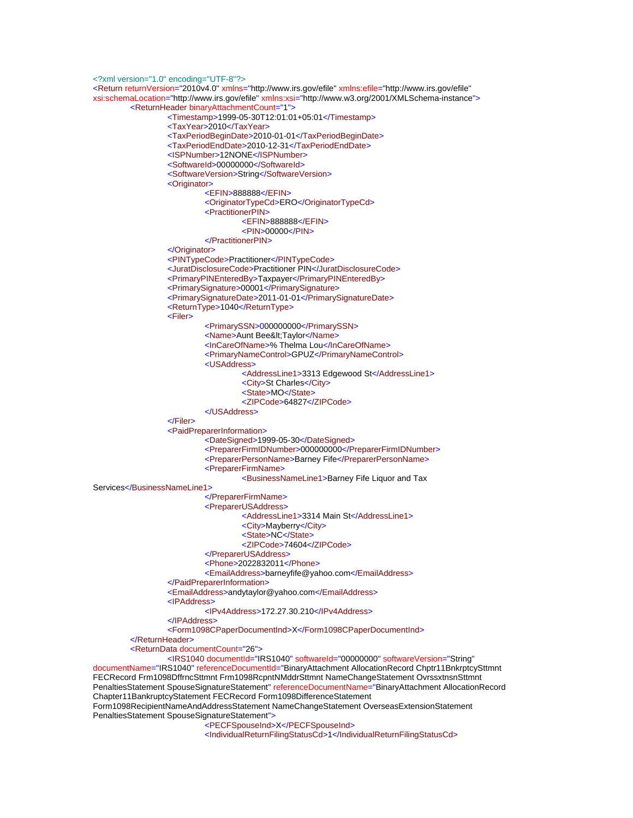```
<?xml version="1.0" encoding="UTF-8"?>
<Return returnVersion="2010v4.0" xmlns="http://www.irs.gov/efile" xmlns:efile="http://www.irs.gov/efile"
xsi:schemaLocation="http://www.irs.gov/efile" xmlns:xsi="http://www.w3.org/2001/XMLSchema-instance">
         <ReturnHeader binaryAttachmentCount="1">
                   <Timestamp>1999-05-30T12:01:01+05:01</Timestamp>
                   <TaxYear>2010</TaxYear>
                   <TaxPeriodBeginDate>2010-01-01</TaxPeriodBeginDate>
                   <TaxPeriodEndDate>2010-12-31</TaxPeriodEndDate>
                   <ISPNumber>12NONE</ISPNumber>
                   <SoftwareId>00000000</SoftwareId>
                   <SoftwareVersion>String</SoftwareVersion>
                   <Originator>
                            <EFIN>888888</EFIN>
                            <OriginatorTypeCd>ERO</OriginatorTypeCd>
                            <PractitionerPIN>
                                     <EFIN>888888</EFIN>
                                     <PIN>00000</PIN>
                            </PractitionerPIN>
                   </Originator>
                   <PINTypeCode>Practitioner</PINTypeCode>
                   <JuratDisclosureCode>Practitioner PIN</JuratDisclosureCode>
                   <PrimaryPINEnteredBy>Taxpayer</PrimaryPINEnteredBy>
                   <PrimarySignature>00001</PrimarySignature>
                   <PrimarySignatureDate>2011-01-01</PrimarySignatureDate>
                   <ReturnType>1040</ReturnType>
                   <Filer>
                            <PrimarySSN>000000000</PrimarySSN>
                           <Name>Aunt Bee&lt;Taylor</Name>
                            <InCareOfName>% Thelma Lou</InCareOfName>
                            <PrimaryNameControl>GPUZ</PrimaryNameControl>
                            <USAddress>
                                     <AddressLine1>3313 Edgewood St</AddressLine1>
                                     <City>St Charles</City>
                                     <State>MO</State>
                                     <ZIPCode>64827</ZIPCode>
                            </USAddress>
                   </Filer>
                   <PaidPreparerInformation>
                            <DateSigned>1999-05-30</DateSigned>
                            <PreparerFirmIDNumber>000000000</PreparerFirmIDNumber>
                            <PreparerPersonName>Barney Fife</PreparerPersonName>
                            <PreparerFirmName>
                                     <BusinessNameLine1>Barney Fife Liquor and Tax 
Services</BusinessNameLine1>
                            </PreparerFirmName>
                            <PreparerUSAddress>
                                     <AddressLine1>3314 Main St</AddressLine1>
                                     <City>Mayberry</City>
                                     <State>NC</State>
                                     <ZIPCode>74604</ZIPCode>
                            </PreparerUSAddress>
                            <Phone>2022832011</Phone>
                            <EmailAddress>barneyfife@yahoo.com</EmailAddress>
                   </PaidPreparerInformation>
                   <EmailAddress>andytaylor@yahoo.com</EmailAddress>
                   <IPAddress>
                            <IPv4Address>172.27.30.210</IPv4Address>
                   </IPAddress>
                   <Form1098CPaperDocumentInd>X</Form1098CPaperDocumentInd>
         </ReturnHeader>
         <ReturnData documentCount="26">
                   <IRS1040 documentId="IRS1040" softwareId="00000000" softwareVersion="String"
documentName="IRS1040" referenceDocumentId="BinaryAttachment AllocationRecord Chptr11BnkrptcySttmnt
FECRecord Frm1098DffrncSttmnt Frm1098RcpntNMddrSttmnt NameChangeStatement OvrssxtnsnSttmnt 
PenaltiesStatement SpouseSignatureStatement" referenceDocumentName="BinaryAttachment AllocationRecord
Chapter11BankruptcyStatement FECRecord Form1098DifferenceStatement 
Form1098RecipientNameAndAddressStatement NameChangeStatement OverseasExtensionStatement 
PenaltiesStatement SpouseSignatureStatement">
```
<PECFSpouseInd>X</PECFSpouseInd>

<IndividualReturnFilingStatusCd>1</IndividualReturnFilingStatusCd>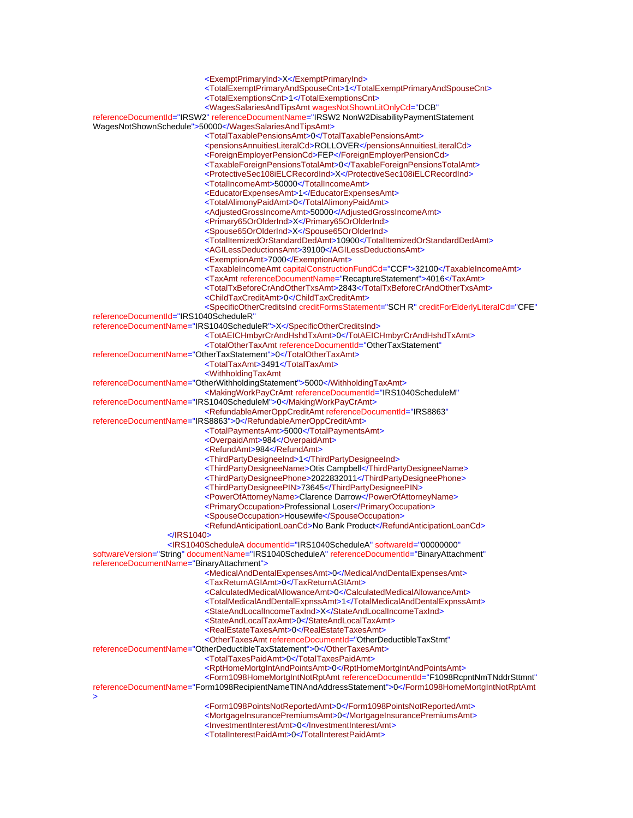<ExemptPrimaryInd>X</ExemptPrimaryInd>

<TotalExemptPrimaryAndSpouseCnt>1</TotalExemptPrimaryAndSpouseCnt>

<TotalExemptionsCnt>1</TotalExemptionsCnt>

<WagesSalariesAndTipsAmt wagesNotShownLitOnlyCd="DCB"

referenceDocumentId="IRSW2" referenceDocumentName="IRSW2 NonW2DisabilityPaymentStatement WagesNotShownSchedule">50000</WagesSalariesAndTipsAmt>

<TotalTaxablePensionsAmt>0</TotalTaxablePensionsAmt>

<pensionsAnnuitiesLiteralCd>ROLLOVER</pensionsAnnuitiesLiteralCd>

<ForeignEmployerPensionCd>FEP</ForeignEmployerPensionCd>

<TaxableForeignPensionsTotalAmt>0</TaxableForeignPensionsTotalAmt>

<ProtectiveSec108iELCRecordInd>X</ProtectiveSec108iELCRecordInd>

<TotalIncomeAmt>50000</TotalIncomeAmt>

<EducatorExpensesAmt>1</EducatorExpensesAmt>

<TotalAlimonyPaidAmt>0</TotalAlimonyPaidAmt>

<AdjustedGrossIncomeAmt>50000</AdjustedGrossIncomeAmt>

<Primary65OrOlderInd>X</Primary65OrOlderInd>

<Spouse65OrOlderInd>X</Spouse65OrOlderInd>

<TotalItemizedOrStandardDedAmt>10900</TotalItemizedOrStandardDedAmt>

<AGILessDeductionsAmt>39100</AGILessDeductionsAmt>

<ExemptionAmt>7000</ExemptionAmt>

<TaxableIncomeAmt capitalConstructionFundCd="CCF">32100</TaxableIncomeAmt>

<TaxAmt referenceDocumentName="RecaptureStatement">4016</TaxAmt>

<TotalTxBeforeCrAndOtherTxsAmt>2843</TotalTxBeforeCrAndOtherTxsAmt>

<ChildTaxCreditAmt>0</ChildTaxCreditAmt>

 <SpecificOtherCreditsInd creditFormsStatement="SCH R" creditForElderlyLiteralCd="CFE" referenceDocumentId="IRS1040ScheduleR"

referenceDocumentName="IRS1040ScheduleR">X</SpecificOtherCreditsInd>

<TotAEICHmbyrCrAndHshdTxAmt>0</TotAEICHmbyrCrAndHshdTxAmt>

<TotalOtherTaxAmt referenceDocumentId="OtherTaxStatement"

referenceDocumentName="OtherTaxStatement">0</TotalOtherTaxAmt>

<TotalTaxAmt>3491</TotalTaxAmt>

<WithholdingTaxAmt

referenceDocumentName="OtherWithholdingStatement">5000</WithholdingTaxAmt>

<MakingWorkPayCrAmt referenceDocumentId="IRS1040ScheduleM"

referenceDocumentName="IRS1040ScheduleM">0</MakingWorkPayCrAmt>

<RefundableAmerOppCreditAmt referenceDocumentId="IRS8863"

referenceDocumentName="IRS8863">0</RefundableAmerOppCreditAmt>

<TotalPaymentsAmt>5000</TotalPaymentsAmt>

<OverpaidAmt>984</OverpaidAmt>

<RefundAmt>984</RefundAmt>

<ThirdPartyDesigneeInd>1</ThirdPartyDesigneeInd>

<ThirdPartyDesigneeName>Otis Campbell</ThirdPartyDesigneeName>

<ThirdPartyDesigneePhone>2022832011</ThirdPartyDesigneePhone>

<ThirdPartyDesigneePIN>73645</ThirdPartyDesigneePIN>

<PowerOfAttorneyName>Clarence Darrow</PowerOfAttorneyName>

<PrimaryOccupation>Professional Loser</PrimaryOccupation>

<SpouseOccupation>Housewife</SpouseOccupation>

<RefundAnticipationLoanCd>No Bank Product</RefundAnticipationLoanCd>

</IRS1040>

 <IRS1040ScheduleA documentId="IRS1040ScheduleA" softwareId="00000000" softwareVersion="String" documentName="IRS1040ScheduleA" referenceDocumentId="BinaryAttachment" referenceDocumentName="BinaryAttachment">

<MedicalAndDentalExpensesAmt>0</MedicalAndDentalExpensesAmt>

<TaxReturnAGIAmt>0</TaxReturnAGIAmt>

<CalculatedMedicalAllowanceAmt>0</CalculatedMedicalAllowanceAmt>

<TotalMedicalAndDentalExpnssAmt>1</TotalMedicalAndDentalExpnssAmt>

<StateAndLocalIncomeTaxInd>X</StateAndLocalIncomeTaxInd>

 <StateAndLocalTaxAmt>0</StateAndLocalTaxAmt> <RealEstateTaxesAmt>0</RealEstateTaxesAmt>

<OtherTaxesAmt referenceDocumentId="OtherDeductibleTaxStmt"

referenceDocumentName="OtherDeductibleTaxStatement">0</OtherTaxesAmt>

<TotalTaxesPaidAmt>0</TotalTaxesPaidAmt>

<RptHomeMortgIntAndPointsAmt>0</RptHomeMortgIntAndPointsAmt>

<Form1098HomeMortgIntNotRptAmt referenceDocumentId="F1098RcpntNmTNddrSttmnt"

referenceDocumentName="Form1098RecipientNameTINAndAddressStatement">0</Form1098HomeMortgIntNotRptAmt >

<Form1098PointsNotReportedAmt>0</Form1098PointsNotReportedAmt>

<MortgageInsurancePremiumsAmt>0</MortgageInsurancePremiumsAmt>

<InvestmentInterestAmt>0</InvestmentInterestAmt>

<TotalInterestPaidAmt>0</TotalInterestPaidAmt>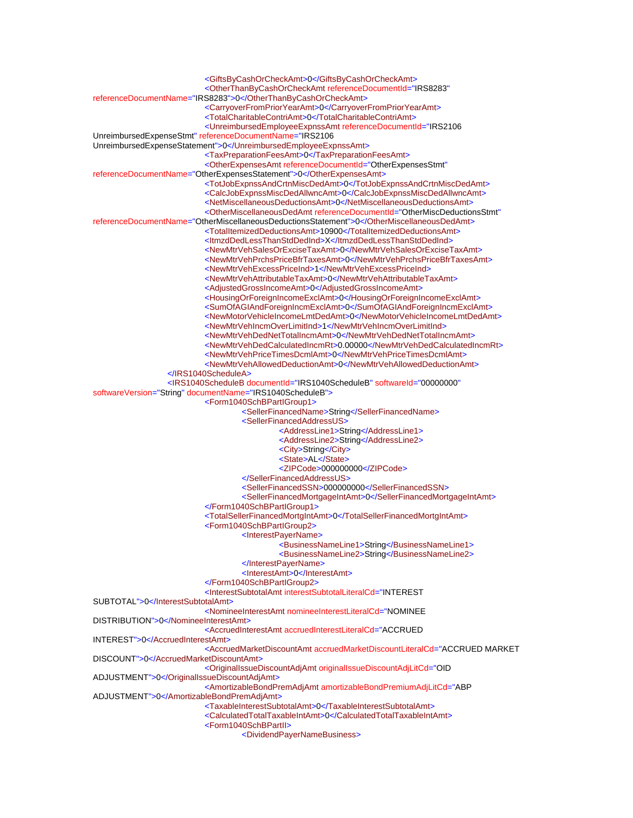<GiftsByCashOrCheckAmt>0</GiftsByCashOrCheckAmt> <OtherThanByCashOrCheckAmt referenceDocumentId="IRS8283" referenceDocumentName="IRS8283">0</OtherThanByCashOrCheckAmt> <CarryoverFromPriorYearAmt>0</CarryoverFromPriorYearAmt> <TotalCharitableContriAmt>0</TotalCharitableContriAmt> <UnreimbursedEmployeeExpnssAmt referenceDocumentId="IRS2106 UnreimbursedExpenseStmt" referenceDocumentName="IRS2106 UnreimbursedExpenseStatement">0</UnreimbursedEmployeeExpnssAmt> <TaxPreparationFeesAmt>0</TaxPreparationFeesAmt> <OtherExpensesAmt referenceDocumentId="OtherExpensesStmt" referenceDocumentName="OtherExpensesStatement">0</OtherExpensesAmt> <TotJobExpnssAndCrtnMiscDedAmt>0</TotJobExpnssAndCrtnMiscDedAmt> <CalcJobExpnssMiscDedAllwncAmt>0</CalcJobExpnssMiscDedAllwncAmt> <NetMiscellaneousDeductionsAmt>0</NetMiscellaneousDeductionsAmt> <OtherMiscellaneousDedAmt referenceDocumentId="OtherMiscDeductionsStmt" referenceDocumentName="OtherMiscellaneousDeductionsStatement">0</OtherMiscellaneousDedAmt> <TotalItemizedDeductionsAmt>10900</TotalItemizedDeductionsAmt> <ItmzdDedLessThanStdDedInd>X</ItmzdDedLessThanStdDedInd> <NewMtrVehSalesOrExciseTaxAmt>0</NewMtrVehSalesOrExciseTaxAmt> <NewMtrVehPrchsPriceBfrTaxesAmt>0</NewMtrVehPrchsPriceBfrTaxesAmt> <NewMtrVehExcessPriceInd>1</NewMtrVehExcessPriceInd> <NewMtrVehAttributableTaxAmt>0</NewMtrVehAttributableTaxAmt> <AdjustedGrossIncomeAmt>0</AdjustedGrossIncomeAmt> <HousingOrForeignIncomeExclAmt>0</HousingOrForeignIncomeExclAmt> <SumOfAGIAndForeignIncmExclAmt>0</SumOfAGIAndForeignIncmExclAmt> <NewMotorVehicleIncomeLmtDedAmt>0</NewMotorVehicleIncomeLmtDedAmt> <NewMtrVehIncmOverLimitInd>1</NewMtrVehIncmOverLimitInd> <NewMtrVehDedNetTotalIncmAmt>0</NewMtrVehDedNetTotalIncmAmt> <NewMtrVehDedCalculatedIncmRt>0.00000</NewMtrVehDedCalculatedIncmRt> <NewMtrVehPriceTimesDcmlAmt>0</NewMtrVehPriceTimesDcmlAmt> <NewMtrVehAllowedDeductionAmt>0</NewMtrVehAllowedDeductionAmt> </IRS1040ScheduleA> <IRS1040ScheduleB documentId="IRS1040ScheduleB" softwareId="00000000" softwareVersion="String" documentName="IRS1040ScheduleB"> <Form1040SchBPartIGroup1> <SellerFinancedName>String</SellerFinancedName> <SellerFinancedAddressUS> <AddressLine1>String</AddressLine1> <AddressLine2>String</AddressLine2> <City>String</City> <State>AL</State> <ZIPCode>000000000</ZIPCode> </SellerFinancedAddressUS> <SellerFinancedSSN>000000000</SellerFinancedSSN> <SellerFinancedMortgageIntAmt>0</SellerFinancedMortgageIntAmt> </Form1040SchBPartIGroup1> <TotalSellerFinancedMortgIntAmt>0</TotalSellerFinancedMortgIntAmt> <Form1040SchBPartIGroup2> <InterestPayerName> <BusinessNameLine1>String</BusinessNameLine1> <BusinessNameLine2>String</BusinessNameLine2> </InterestPayerName> <InterestAmt>0</InterestAmt> </Form1040SchBPartIGroup2> <InterestSubtotalAmt interestSubtotalLiteralCd="INTEREST SUBTOTAL">0</InterestSubtotalAmt> <NomineeInterestAmt nomineeInterestLiteralCd="NOMINEE DISTRIBUTION">0</NomineeInterestAmt> <AccruedInterestAmt accruedInterestLiteralCd="ACCRUED INTEREST">0</AccruedInterestAmt> <AccruedMarketDiscountAmt accruedMarketDiscountLiteralCd="ACCRUED MARKET DISCOUNT">0</AccruedMarketDiscountAmt> <OriginalIssueDiscountAdjAmt originalIssueDiscountAdjLitCd="OID ADJUSTMENT">0</OriginalIssueDiscountAdjAmt> <AmortizableBondPremAdjAmt amortizableBondPremiumAdjLitCd="ABP ADJUSTMENT">0</AmortizableBondPremAdjAmt> <TaxableInterestSubtotalAmt>0</TaxableInterestSubtotalAmt> <CalculatedTotalTaxableIntAmt>0</CalculatedTotalTaxableIntAmt> <Form1040SchBPartII> <DividendPayerNameBusiness>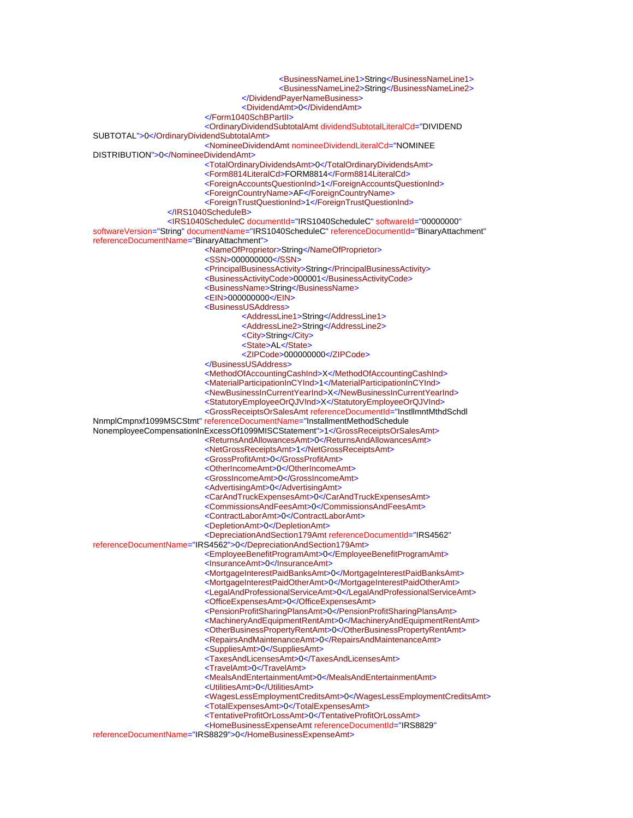<BusinessNameLine1>String</BusinessNameLine1> <BusinessNameLine2>String</BusinessNameLine2> </DividendPayerNameBusiness> <DividendAmt>0</DividendAmt> </Form1040SchBPartII> <OrdinaryDividendSubtotalAmt dividendSubtotalLiteralCd="DIVIDEND SUBTOTAL">0</OrdinaryDividendSubtotalAmt> <NomineeDividendAmt nomineeDividendLiteralCd="NOMINEE DISTRIBUTION">0</NomineeDividendAmt> <TotalOrdinaryDividendsAmt>0</TotalOrdinaryDividendsAmt> <Form8814LiteralCd>FORM8814</Form8814LiteralCd> <ForeignAccountsQuestionInd>1</ForeignAccountsQuestionInd> <ForeignCountryName>AF</ForeignCountryName> <ForeignTrustQuestionInd>1</ForeignTrustQuestionInd> </IRS1040ScheduleB> <IRS1040ScheduleC documentId="IRS1040ScheduleC" softwareId="00000000" softwareVersion="String" documentName="IRS1040ScheduleC" referenceDocumentId="BinaryAttachment" referenceDocumentName="BinaryAttachment"> <NameOfProprietor>String</NameOfProprietor> <SSN>000000000</SSN> <PrincipalBusinessActivity>String</PrincipalBusinessActivity> <BusinessActivityCode>000001</BusinessActivityCode> <BusinessName>String</BusinessName> <EIN>000000000</EIN> <BusinessUSAddress> <AddressLine1>String</AddressLine1> <AddressLine2>String</AddressLine2> <City>String</City> <State>AL</State> <ZIPCode>000000000</ZIPCode> </BusinessUSAddress> <MethodOfAccountingCashInd>X</MethodOfAccountingCashInd> <MaterialParticipationInCYInd>1</MaterialParticipationInCYInd> <NewBusinessInCurrentYearInd>X</NewBusinessInCurrentYearInd> <StatutoryEmployeeOrQJVInd>X</StatutoryEmployeeOrQJVInd> <GrossReceiptsOrSalesAmt referenceDocumentId="InstllmntMthdSchdl NnmplCmpnxf1099MSCStmt" referenceDocumentName="InstallmentMethodSchedule NonemployeeCompensationInExcessOf1099MISCStatement">1</GrossReceiptsOrSalesAmt> <ReturnsAndAllowancesAmt>0</ReturnsAndAllowancesAmt> <NetGrossReceiptsAmt>1</NetGrossReceiptsAmt> <GrossProfitAmt>0</GrossProfitAmt> <OtherIncomeAmt>0</OtherIncomeAmt> <GrossIncomeAmt>0</GrossIncomeAmt> <AdvertisingAmt>0</AdvertisingAmt> <CarAndTruckExpensesAmt>0</CarAndTruckExpensesAmt> <CommissionsAndFeesAmt>0</CommissionsAndFeesAmt> <ContractLaborAmt>0</ContractLaborAmt> <DepletionAmt>0</DepletionAmt> <DepreciationAndSection179Amt referenceDocumentId="IRS4562" referenceDocumentName="IRS4562">0</DepreciationAndSection179Amt> <EmployeeBenefitProgramAmt>0</EmployeeBenefitProgramAmt> <InsuranceAmt>0</InsuranceAmt> <MortgageInterestPaidBanksAmt>0</MortgageInterestPaidBanksAmt> <MortgageInterestPaidOtherAmt>0</MortgageInterestPaidOtherAmt> <LegalAndProfessionalServiceAmt>0</LegalAndProfessionalServiceAmt> <OfficeExpensesAmt>0</OfficeExpensesAmt> <PensionProfitSharingPlansAmt>0</PensionProfitSharingPlansAmt> <MachineryAndEquipmentRentAmt>0</MachineryAndEquipmentRentAmt> <OtherBusinessPropertyRentAmt>0</OtherBusinessPropertyRentAmt> <RepairsAndMaintenanceAmt>0</RepairsAndMaintenanceAmt> <SuppliesAmt>0</SuppliesAmt> <TaxesAndLicensesAmt>0</TaxesAndLicensesAmt> <TravelAmt>0</TravelAmt> <MealsAndEntertainmentAmt>0</MealsAndEntertainmentAmt> <UtilitiesAmt>0</UtilitiesAmt> <WagesLessEmploymentCreditsAmt>0</WagesLessEmploymentCreditsAmt> <TotalExpensesAmt>0</TotalExpensesAmt> <TentativeProfitOrLossAmt>0</TentativeProfitOrLossAmt> <HomeBusinessExpenseAmt referenceDocumentId="IRS8829" referenceDocumentName="IRS8829">0</HomeBusinessExpenseAmt>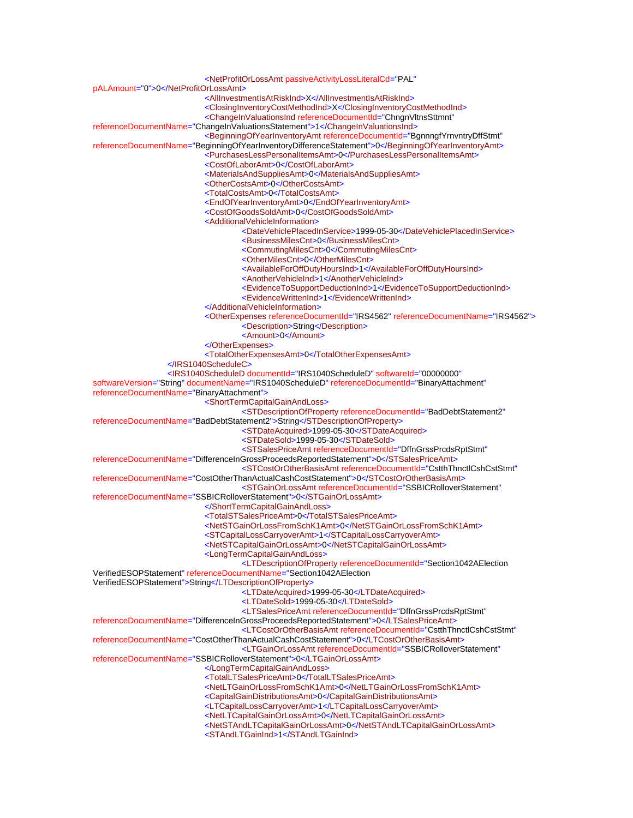<NetProfitOrLossAmt passiveActivityLossLiteralCd="PAL" pALAmount="0">0</NetProfitOrLossAmt> <AllInvestmentIsAtRiskInd>X</AllInvestmentIsAtRiskInd> <ClosingInventoryCostMethodInd>X</ClosingInventoryCostMethodInd> <ChangeInValuationsInd referenceDocumentId="ChngnVltnsSttmnt" referenceDocumentName="ChangeInValuationsStatement">1</ChangeInValuationsInd> <BeginningOfYearInventoryAmt referenceDocumentId="BgnnngfYrnvntryDffStmt" referenceDocumentName="BeginningOfYearInventoryDifferenceStatement">0</BeginningOfYearInventoryAmt> <PurchasesLessPersonalItemsAmt>0</PurchasesLessPersonalItemsAmt> <CostOfLaborAmt>0</CostOfLaborAmt> <MaterialsAndSuppliesAmt>0</MaterialsAndSuppliesAmt> <OtherCostsAmt>0</OtherCostsAmt> <TotalCostsAmt>0</TotalCostsAmt> <EndOfYearInventoryAmt>0</EndOfYearInventoryAmt> <CostOfGoodsSoldAmt>0</CostOfGoodsSoldAmt> <AdditionalVehicleInformation> <DateVehiclePlacedInService>1999-05-30</DateVehiclePlacedInService> <BusinessMilesCnt>0</BusinessMilesCnt> <CommutingMilesCnt>0</CommutingMilesCnt> <OtherMilesCnt>0</OtherMilesCnt> <AvailableForOffDutyHoursInd>1</AvailableForOffDutyHoursInd> <AnotherVehicleInd>1</AnotherVehicleInd> <EvidenceToSupportDeductionInd>1</EvidenceToSupportDeductionInd> <EvidenceWrittenInd>1</EvidenceWrittenInd> </AdditionalVehicleInformation> <OtherExpenses referenceDocumentId="IRS4562" referenceDocumentName="IRS4562"> <Description>String</Description> <Amount>0</Amount> </OtherExpenses> <TotalOtherExpensesAmt>0</TotalOtherExpensesAmt> </IRS1040ScheduleC> <IRS1040ScheduleD documentId="IRS1040ScheduleD" softwareId="00000000" softwareVersion="String" documentName="IRS1040ScheduleD" referenceDocumentId="BinaryAttachment" referenceDocumentName="BinaryAttachment"> <ShortTermCapitalGainAndLoss> <STDescriptionOfProperty referenceDocumentId="BadDebtStatement2" referenceDocumentName="BadDebtStatement2">String</STDescriptionOfProperty> <STDateAcquired>1999-05-30</STDateAcquired> <STDateSold>1999-05-30</STDateSold> <STSalesPriceAmt referenceDocumentId="DffnGrssPrcdsRptStmt" referenceDocumentName="DifferenceInGrossProceedsReportedStatement">0</STSalesPriceAmt> <STCostOrOtherBasisAmt referenceDocumentId="CstthThnctlCshCstStmt" referenceDocumentName="CostOtherThanActualCashCostStatement">0</STCostOrOtherBasisAmt> <STGainOrLossAmt referenceDocumentId="SSBICRolloverStatement" referenceDocumentName="SSBICRolloverStatement">0</STGainOrLossAmt> </ShortTermCapitalGainAndLoss> <TotalSTSalesPriceAmt>0</TotalSTSalesPriceAmt> <NetSTGainOrLossFromSchK1Amt>0</NetSTGainOrLossFromSchK1Amt> <STCapitalLossCarryoverAmt>1</STCapitalLossCarryoverAmt> <NetSTCapitalGainOrLossAmt>0</NetSTCapitalGainOrLossAmt> <LongTermCapitalGainAndLoss> <LTDescriptionOfProperty referenceDocumentId="Section1042AElection VerifiedESOPStatement" referenceDocumentName="Section1042AElection VerifiedESOPStatement">String</LTDescriptionOfProperty> <LTDateAcquired>1999-05-30</LTDateAcquired> <LTDateSold>1999-05-30</LTDateSold> <LTSalesPriceAmt referenceDocumentId="DffnGrssPrcdsRptStmt" referenceDocumentName="DifferenceInGrossProceedsReportedStatement">0</LTSalesPriceAmt> <LTCostOrOtherBasisAmt referenceDocumentId="CstthThnctlCshCstStmt" referenceDocumentName="CostOtherThanActualCashCostStatement">0</LTCostOrOtherBasisAmt> <LTGainOrLossAmt referenceDocumentId="SSBICRolloverStatement" referenceDocumentName="SSBICRolloverStatement">0</LTGainOrLossAmt> </LongTermCapitalGainAndLoss> <TotalLTSalesPriceAmt>0</TotalLTSalesPriceAmt> <NetLTGainOrLossFromSchK1Amt>0</NetLTGainOrLossFromSchK1Amt> <CapitalGainDistributionsAmt>0</CapitalGainDistributionsAmt> <LTCapitalLossCarryoverAmt>1</LTCapitalLossCarryoverAmt> <NetLTCapitalGainOrLossAmt>0</NetLTCapitalGainOrLossAmt>

 <NetSTAndLTCapitalGainOrLossAmt>0</NetSTAndLTCapitalGainOrLossAmt> <STAndLTGainInd>1</STAndLTGainInd>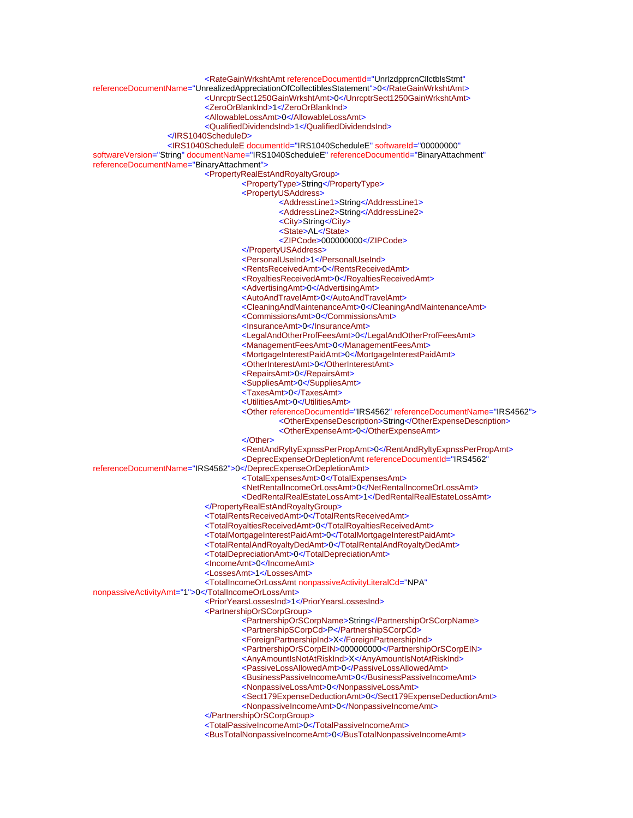<RateGainWrkshtAmt referenceDocumentId="UnrlzdpprcnCllctblsStmt" referenceDocumentName="UnrealizedAppreciationOfCollectiblesStatement">0</RateGainWrkshtAmt> <UnrcptrSect1250GainWrkshtAmt>0</UnrcptrSect1250GainWrkshtAmt> <ZeroOrBlankInd>1</ZeroOrBlankInd> <AllowableLossAmt>0</AllowableLossAmt> <QualifiedDividendsInd>1</QualifiedDividendsInd> </IRS1040ScheduleD> <IRS1040ScheduleE documentId="IRS1040ScheduleE" softwareId="00000000" softwareVersion="String" documentName="IRS1040ScheduleE" referenceDocumentId="BinaryAttachment" referenceDocumentName="BinaryAttachment"> <PropertyRealEstAndRoyaltyGroup> <PropertyType>String</PropertyType> <PropertyUSAddress> <AddressLine1>String</AddressLine1> <AddressLine2>String</AddressLine2> <City>String</City> <State>AL</State> <ZIPCode>000000000</ZIPCode> </PropertyUSAddress> <PersonalUseInd>1</PersonalUseInd> <RentsReceivedAmt>0</RentsReceivedAmt> <RoyaltiesReceivedAmt>0</RoyaltiesReceivedAmt> <AdvertisingAmt>0</AdvertisingAmt> <AutoAndTravelAmt>0</AutoAndTravelAmt> <CleaningAndMaintenanceAmt>0</CleaningAndMaintenanceAmt> <CommissionsAmt>0</CommissionsAmt> <InsuranceAmt>0</InsuranceAmt> <LegalAndOtherProfFeesAmt>0</LegalAndOtherProfFeesAmt> <ManagementFeesAmt>0</ManagementFeesAmt> <MortgageInterestPaidAmt>0</MortgageInterestPaidAmt> <OtherInterestAmt>0</OtherInterestAmt> <RepairsAmt>0</RepairsAmt> <SuppliesAmt>0</SuppliesAmt> <TaxesAmt>0</TaxesAmt> <UtilitiesAmt>0</UtilitiesAmt> <Other referenceDocumentId="IRS4562" referenceDocumentName="IRS4562"> <OtherExpenseDescription>String</OtherExpenseDescription> <OtherExpenseAmt>0</OtherExpenseAmt> </Other> <RentAndRyltyExpnssPerPropAmt>0</RentAndRyltyExpnssPerPropAmt> <DeprecExpenseOrDepletionAmt referenceDocumentId="IRS4562" referenceDocumentName="IRS4562">0</DeprecExpenseOrDepletionAmt> <TotalExpensesAmt>0</TotalExpensesAmt> <NetRentalIncomeOrLossAmt>0</NetRentalIncomeOrLossAmt> <DedRentalRealEstateLossAmt>1</DedRentalRealEstateLossAmt> </PropertyRealEstAndRoyaltyGroup> <TotalRentsReceivedAmt>0</TotalRentsReceivedAmt> <TotalRoyaltiesReceivedAmt>0</TotalRoyaltiesReceivedAmt> <TotalMortgageInterestPaidAmt>0</TotalMortgageInterestPaidAmt> <TotalRentalAndRoyaltyDedAmt>0</TotalRentalAndRoyaltyDedAmt> <TotalDepreciationAmt>0</TotalDepreciationAmt> <IncomeAmt>0</IncomeAmt> <LossesAmt>1</LossesAmt> <TotalIncomeOrLossAmt nonpassiveActivityLiteralCd="NPA" nonpassiveActivityAmt="1">0</TotalIncomeOrLossAmt> <PriorYearsLossesInd>1</PriorYearsLossesInd> <PartnershipOrSCorpGroup> <PartnershipOrSCorpName>String</PartnershipOrSCorpName> <PartnershipSCorpCd>P</PartnershipSCorpCd> <ForeignPartnershipInd>X</ForeignPartnershipInd> <PartnershipOrSCorpEIN>000000000</PartnershipOrSCorpEIN> <AnyAmountIsNotAtRiskInd>X</AnyAmountIsNotAtRiskInd> <PassiveLossAllowedAmt>0</PassiveLossAllowedAmt> <BusinessPassiveIncomeAmt>0</BusinessPassiveIncomeAmt> <NonpassiveLossAmt>0</NonpassiveLossAmt> <Sect179ExpenseDeductionAmt>0</Sect179ExpenseDeductionAmt> <NonpassiveIncomeAmt>0</NonpassiveIncomeAmt> </PartnershipOrSCorpGroup> <TotalPassiveIncomeAmt>0</TotalPassiveIncomeAmt> <BusTotalNonpassiveIncomeAmt>0</BusTotalNonpassiveIncomeAmt>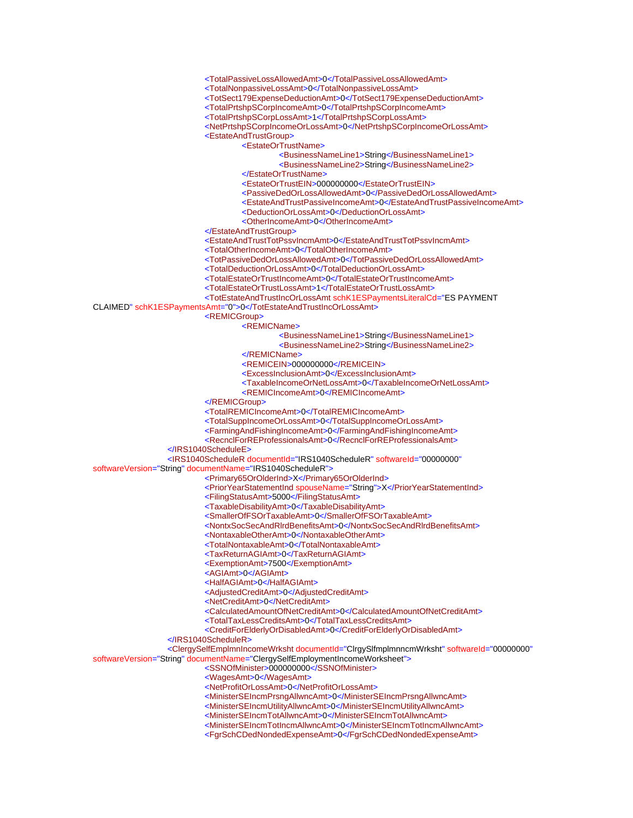

<MinisterSEIncmPrsngAllwncAmt>0</MinisterSEIncmPrsngAllwncAmt>

<MinisterSEIncmUtilityAllwncAmt>0</MinisterSEIncmUtilityAllwncAmt>

<MinisterSEIncmTotAllwncAmt>0</MinisterSEIncmTotAllwncAmt>

<MinisterSEIncmTotIncmAllwncAmt>0</MinisterSEIncmTotIncmAllwncAmt>

<FgrSchCDedNondedExpenseAmt>0</FgrSchCDedNondedExpenseAmt>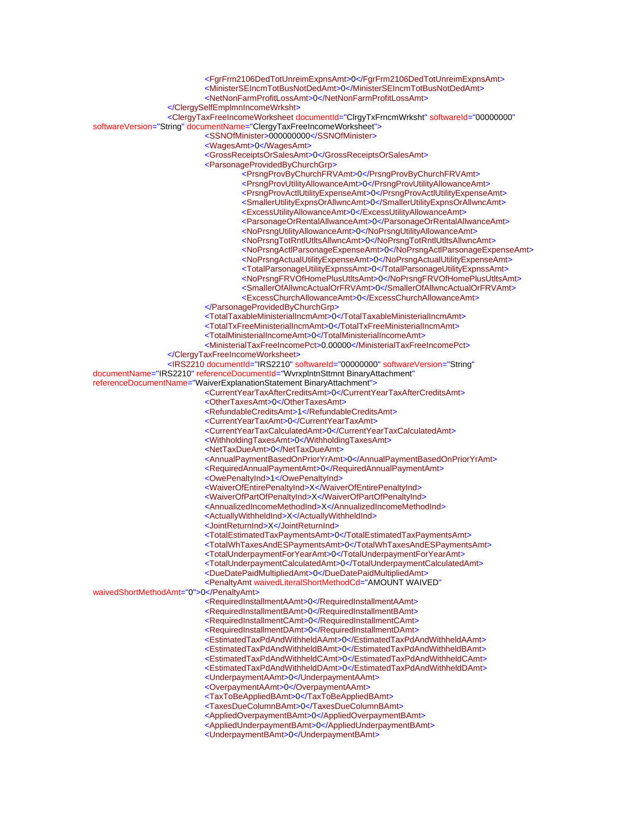<FgrFrm2106DedTotUnreimExpnsAmt>0</FgrFrm2106DedTotUnreimExpnsAmt> <MinisterSEIncmTotBusNotDedAmt>0</MinisterSEIncmTotBusNotDedAmt> <NetNonFarmProfitLossAmt>0</NetNonFarmProfitLossAmt> </ClergySelfEmplmnIncomeWrksht> <ClergyTaxFreeIncomeWorksheet documentId="ClrgyTxFrncmWrksht" softwareId="00000000" softwareVersion="String" documentName="ClergyTaxFreeIncomeWorksheet"> <SSNOfMinister>000000000</SSNOfMinister> <WagesAmt>0</WagesAmt> <GrossReceiptsOrSalesAmt>0</GrossReceiptsOrSalesAmt> <ParsonageProvidedByChurchGrp> <PrsngProvByChurchFRVAmt>0</PrsngProvByChurchFRVAmt> <PrsngProvUtilityAllowanceAmt>0</PrsngProvUtilityAllowanceAmt> <PrsngProvActlUtilityExpenseAmt>0</PrsngProvActlUtilityExpenseAmt> <SmallerUtilityExpnsOrAllwncAmt>0</SmallerUtilityExpnsOrAllwncAmt> <ExcessUtilityAllowanceAmt>0</ExcessUtilityAllowanceAmt> <ParsonageOrRentalAllwanceAmt>0</ParsonageOrRentalAllwanceAmt> <NoPrsngUtilityAllowanceAmt>0</NoPrsngUtilityAllowanceAmt> <NoPrsngTotRntlUtltsAllwncAmt>0</NoPrsngTotRntlUtltsAllwncAmt> <NoPrsngActlParsonageExpenseAmt>0</NoPrsngActlParsonageExpenseAmt> <NoPrsngActualUtilityExpenseAmt>0</NoPrsngActualUtilityExpenseAmt> <TotalParsonageUtilityExpnssAmt>0</TotalParsonageUtilityExpnssAmt> <NoPrsngFRVOfHomePlusUtltsAmt>0</NoPrsngFRVOfHomePlusUtltsAmt> <SmallerOfAllwncActualOrFRVAmt>0</SmallerOfAllwncActualOrFRVAmt> <ExcessChurchAllowanceAmt>0</ExcessChurchAllowanceAmt> </ParsonageProvidedByChurchGrp> <TotalTaxableMinisterialIncmAmt>0</TotalTaxableMinisterialIncmAmt> <TotalTxFreeMinisterialIncmAmt>0</TotalTxFreeMinisterialIncmAmt> <TotalMinisterialIncomeAmt>0</TotalMinisterialIncomeAmt> <MinisterialTaxFreeIncomePct>0.00000</MinisterialTaxFreeIncomePct> </ClergyTaxFreeIncomeWorksheet> <IRS2210 documentId="IRS2210" softwareId="00000000" softwareVersion="String" documentName="IRS2210" referenceDocumentId="WvrxplntnSttmnt BinaryAttachment" referenceDocumentName="WaiverExplanationStatement BinaryAttachment"> <CurrentYearTaxAfterCreditsAmt>0</CurrentYearTaxAfterCreditsAmt> <OtherTaxesAmt>0</OtherTaxesAmt> <RefundableCreditsAmt>1</RefundableCreditsAmt> <CurrentYearTaxAmt>0</CurrentYearTaxAmt> <CurrentYearTaxCalculatedAmt>0</CurrentYearTaxCalculatedAmt> <WithholdingTaxesAmt>0</WithholdingTaxesAmt> <NetTaxDueAmt>0</NetTaxDueAmt> <AnnualPaymentBasedOnPriorYrAmt>0</AnnualPaymentBasedOnPriorYrAmt> <RequiredAnnualPaymentAmt>0</RequiredAnnualPaymentAmt> <OwePenaltyInd>1</OwePenaltyInd> <WaiverOfEntirePenaltyInd>X</WaiverOfEntirePenaltyInd> <WaiverOfPartOfPenaltyInd>X</WaiverOfPartOfPenaltyInd> <AnnualizedIncomeMethodInd>X</AnnualizedIncomeMethodInd> <ActuallyWithheldInd>X</ActuallyWithheldInd> <JointReturnInd>X</JointReturnInd> <TotalEstimatedTaxPaymentsAmt>0</TotalEstimatedTaxPaymentsAmt> <TotalWhTaxesAndESPaymentsAmt>0</TotalWhTaxesAndESPaymentsAmt> <TotalUnderpaymentForYearAmt>0</TotalUnderpaymentForYearAmt> <TotalUnderpaymentCalculatedAmt>0</TotalUnderpaymentCalculatedAmt> <DueDatePaidMultipliedAmt>0</DueDatePaidMultipliedAmt> <PenaltyAmt waivedLiteralShortMethodCd="AMOUNT WAIVED" waivedShortMethodAmt="0">0</PenaltyAmt> <RequiredInstallmentAAmt>0</RequiredInstallmentAAmt> <RequiredInstallmentBAmt>0</RequiredInstallmentBAmt> <RequiredInstallmentCAmt>0</RequiredInstallmentCAmt> <RequiredInstallmentDAmt>0</RequiredInstallmentDAmt> <EstimatedTaxPdAndWithheldAAmt>0</EstimatedTaxPdAndWithheldAAmt> <EstimatedTaxPdAndWithheldBAmt>0</EstimatedTaxPdAndWithheldBAmt> <EstimatedTaxPdAndWithheldCAmt>0</EstimatedTaxPdAndWithheldCAmt> <EstimatedTaxPdAndWithheldDAmt>0</EstimatedTaxPdAndWithheldDAmt> <UnderpaymentAAmt>0</UnderpaymentAAmt> <OverpaymentAAmt>0</OverpaymentAAmt> <TaxToBeAppliedBAmt>0</TaxToBeAppliedBAmt> <TaxesDueColumnBAmt>0</TaxesDueColumnBAmt> <AppliedOverpaymentBAmt>0</AppliedOverpaymentBAmt> <AppliedUnderpaymentBAmt>0</AppliedUnderpaymentBAmt> <UnderpaymentBAmt>0</UnderpaymentBAmt>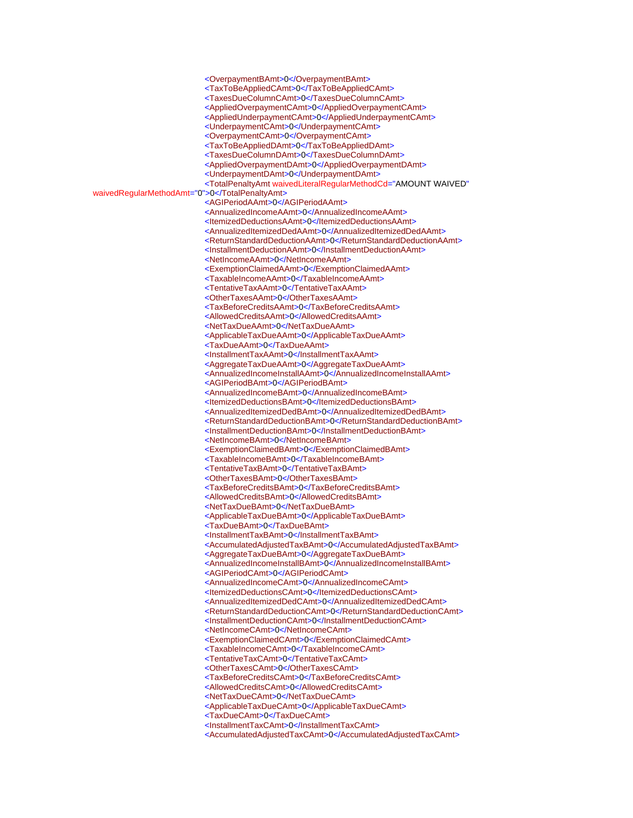<OverpaymentBAmt>0</OverpaymentBAmt> <TaxToBeAppliedCAmt>0</TaxToBeAppliedCAmt> <TaxesDueColumnCAmt>0</TaxesDueColumnCAmt> <AppliedOverpaymentCAmt>0</AppliedOverpaymentCAmt> <AppliedUnderpaymentCAmt>0</AppliedUnderpaymentCAmt> <UnderpaymentCAmt>0</UnderpaymentCAmt> <OverpaymentCAmt>0</OverpaymentCAmt> <TaxToBeAppliedDAmt>0</TaxToBeAppliedDAmt> <TaxesDueColumnDAmt>0</TaxesDueColumnDAmt> <AppliedOverpaymentDAmt>0</AppliedOverpaymentDAmt> <UnderpaymentDAmt>0</UnderpaymentDAmt> <TotalPenaltyAmt waivedLiteralRegularMethodCd="AMOUNT WAIVED" waivedRegularMethodAmt="0">0</TotalPenaltyAmt> <AGIPeriodAAmt>0</AGIPeriodAAmt> <AnnualizedIncomeAAmt>0</AnnualizedIncomeAAmt> <ItemizedDeductionsAAmt>0</ItemizedDeductionsAAmt> <AnnualizedItemizedDedAAmt>0</AnnualizedItemizedDedAAmt> <ReturnStandardDeductionAAmt>0</ReturnStandardDeductionAAmt> <InstallmentDeductionAAmt>0</InstallmentDeductionAAmt> <NetIncomeAAmt>0</NetIncomeAAmt> <ExemptionClaimedAAmt>0</ExemptionClaimedAAmt> <TaxableIncomeAAmt>0</TaxableIncomeAAmt> <TentativeTaxAAmt>0</TentativeTaxAAmt> <OtherTaxesAAmt>0</OtherTaxesAAmt> <TaxBeforeCreditsAAmt>0</TaxBeforeCreditsAAmt> <AllowedCreditsAAmt>0</AllowedCreditsAAmt> <NetTaxDueAAmt>0</NetTaxDueAAmt> <ApplicableTaxDueAAmt>0</ApplicableTaxDueAAmt> <TaxDueAAmt>0</TaxDueAAmt> <InstallmentTaxAAmt>0</InstallmentTaxAAmt> <AggregateTaxDueAAmt>0</AggregateTaxDueAAmt> <AnnualizedIncomeInstallAAmt>0</AnnualizedIncomeInstallAAmt> <AGIPeriodBAmt>0</AGIPeriodBAmt> <AnnualizedIncomeBAmt>0</AnnualizedIncomeBAmt> <ItemizedDeductionsBAmt>0</ItemizedDeductionsBAmt> <AnnualizedItemizedDedBAmt>0</AnnualizedItemizedDedBAmt> <ReturnStandardDeductionBAmt>0</ReturnStandardDeductionBAmt> <InstallmentDeductionBAmt>0</InstallmentDeductionBAmt> <NetIncomeBAmt>0</NetIncomeBAmt> <ExemptionClaimedBAmt>0</ExemptionClaimedBAmt> <TaxableIncomeBAmt>0</TaxableIncomeBAmt> <TentativeTaxBAmt>0</TentativeTaxBAmt> <OtherTaxesBAmt>0</OtherTaxesBAmt> <TaxBeforeCreditsBAmt>0</TaxBeforeCreditsBAmt> <AllowedCreditsBAmt>0</AllowedCreditsBAmt> <NetTaxDueBAmt>0</NetTaxDueBAmt> <ApplicableTaxDueBAmt>0</ApplicableTaxDueBAmt> <TaxDueBAmt>0</TaxDueBAmt> <InstallmentTaxBAmt>0</InstallmentTaxBAmt> <AccumulatedAdjustedTaxBAmt>0</AccumulatedAdjustedTaxBAmt> <AggregateTaxDueBAmt>0</AggregateTaxDueBAmt> <AnnualizedIncomeInstallBAmt>0</AnnualizedIncomeInstallBAmt> <AGIPeriodCAmt>0</AGIPeriodCAmt> <AnnualizedIncomeCAmt>0</AnnualizedIncomeCAmt> <ItemizedDeductionsCAmt>0</ItemizedDeductionsCAmt> <AnnualizedItemizedDedCAmt>0</AnnualizedItemizedDedCAmt> <ReturnStandardDeductionCAmt>0</ReturnStandardDeductionCAmt> <InstallmentDeductionCAmt>0</InstallmentDeductionCAmt> <NetIncomeCAmt>0</NetIncomeCAmt> <ExemptionClaimedCAmt>0</ExemptionClaimedCAmt> <TaxableIncomeCAmt>0</TaxableIncomeCAmt> <TentativeTaxCAmt>0</TentativeTaxCAmt> <OtherTaxesCAmt>0</OtherTaxesCAmt> <TaxBeforeCreditsCAmt>0</TaxBeforeCreditsCAmt> <AllowedCreditsCAmt>0</AllowedCreditsCAmt> <NetTaxDueCAmt>0</NetTaxDueCAmt> <ApplicableTaxDueCAmt>0</ApplicableTaxDueCAmt> <TaxDueCAmt>0</TaxDueCAmt> <InstallmentTaxCAmt>0</InstallmentTaxCAmt> <AccumulatedAdjustedTaxCAmt>0</AccumulatedAdjustedTaxCAmt>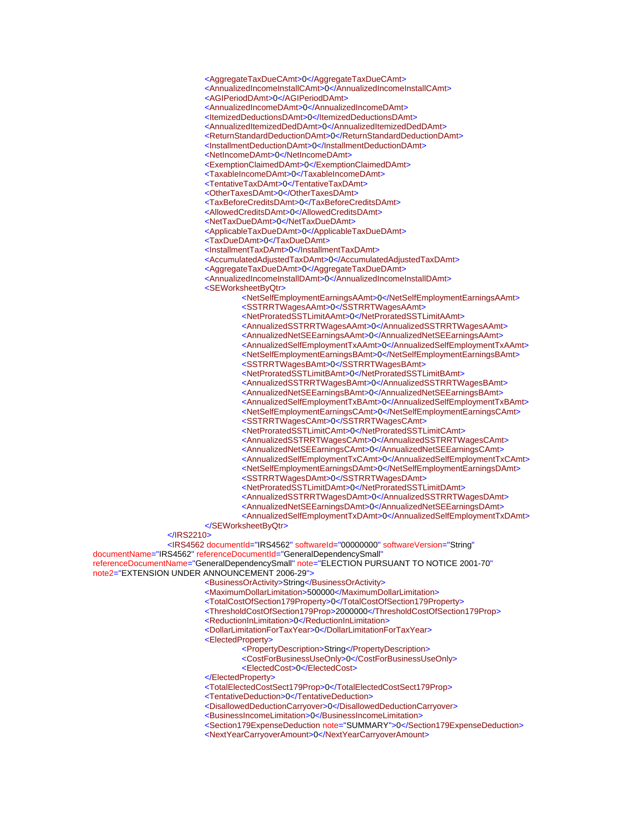<AggregateTaxDueCAmt>0</AggregateTaxDueCAmt>

<AnnualizedIncomeInstallCAmt>0</AnnualizedIncomeInstallCAmt>

<AGIPeriodDAmt>0</AGIPeriodDAmt>

<AnnualizedIncomeDAmt>0</AnnualizedIncomeDAmt>

 <ItemizedDeductionsDAmt>0</ItemizedDeductionsDAmt> <AnnualizedItemizedDedDAmt>0</AnnualizedItemizedDedDAmt>

<ReturnStandardDeductionDAmt>0</ReturnStandardDeductionDAmt>

<InstallmentDeductionDAmt>0</InstallmentDeductionDAmt>

<NetIncomeDAmt>0</NetIncomeDAmt>

<ExemptionClaimedDAmt>0</ExemptionClaimedDAmt>

<TaxableIncomeDAmt>0</TaxableIncomeDAmt>

<TentativeTaxDAmt>0</TentativeTaxDAmt>

<OtherTaxesDAmt>0</OtherTaxesDAmt>

<TaxBeforeCreditsDAmt>0</TaxBeforeCreditsDAmt>

<AllowedCreditsDAmt>0</AllowedCreditsDAmt>

<NetTaxDueDAmt>0</NetTaxDueDAmt>

<ApplicableTaxDueDAmt>0</ApplicableTaxDueDAmt>

<TaxDueDAmt>0</TaxDueDAmt>

<InstallmentTaxDAmt>0</InstallmentTaxDAmt>

<AccumulatedAdjustedTaxDAmt>0</AccumulatedAdjustedTaxDAmt>

<AggregateTaxDueDAmt>0</AggregateTaxDueDAmt>

<AnnualizedIncomeInstallDAmt>0</AnnualizedIncomeInstallDAmt>

<SEWorksheetByQtr>

 <NetSelfEmploymentEarningsAAmt>0</NetSelfEmploymentEarningsAAmt> <SSTRRTWagesAAmt>0</SSTRRTWagesAAmt>

<NetProratedSSTLimitAAmt>0</NetProratedSSTLimitAAmt>

<AnnualizedSSTRRTWagesAAmt>0</AnnualizedSSTRRTWagesAAmt>

<AnnualizedNetSEEarningsAAmt>0</AnnualizedNetSEEarningsAAmt>

<AnnualizedSelfEmploymentTxAAmt>0</AnnualizedSelfEmploymentTxAAmt>

<NetSelfEmploymentEarningsBAmt>0</NetSelfEmploymentEarningsBAmt>

<SSTRRTWagesBAmt>0</SSTRRTWagesBAmt>

<NetProratedSSTLimitBAmt>0</NetProratedSSTLimitBAmt>

<AnnualizedSSTRRTWagesBAmt>0</AnnualizedSSTRRTWagesBAmt>

<AnnualizedNetSEEarningsBAmt>0</AnnualizedNetSEEarningsBAmt>

<AnnualizedSelfEmploymentTxBAmt>0</AnnualizedSelfEmploymentTxBAmt>

<NetSelfEmploymentEarningsCAmt>0</NetSelfEmploymentEarningsCAmt>

<SSTRRTWagesCAmt>0</SSTRRTWagesCAmt>

<NetProratedSSTLimitCAmt>0</NetProratedSSTLimitCAmt>

- <AnnualizedSSTRRTWagesCAmt>0</AnnualizedSSTRRTWagesCAmt>
- <AnnualizedNetSEEarningsCAmt>0</AnnualizedNetSEEarningsCAmt>

<AnnualizedSelfEmploymentTxCAmt>0</AnnualizedSelfEmploymentTxCAmt>

- <NetSelfEmploymentEarningsDAmt>0</NetSelfEmploymentEarningsDAmt>
- <SSTRRTWagesDAmt>0</SSTRRTWagesDAmt>

<NetProratedSSTLimitDAmt>0</NetProratedSSTLimitDAmt>

- <AnnualizedSSTRRTWagesDAmt>0</AnnualizedSSTRRTWagesDAmt>
- <AnnualizedNetSEEarningsDAmt>0</AnnualizedNetSEEarningsDAmt>

 <AnnualizedSelfEmploymentTxDAmt>0</AnnualizedSelfEmploymentTxDAmt> </SEWorksheetByQtr>

## </IRS2210>

 <IRS4562 documentId="IRS4562" softwareId="00000000" softwareVersion="String" documentName="IRS4562" referenceDocumentId="GeneralDependencySmall"

referenceDocumentName="GeneralDependencySmall" note="ELECTION PURSUANT TO NOTICE 2001-70" note2="EXTENSION UNDER ANNOUNCEMENT 2006-29">

<BusinessOrActivity>String</BusinessOrActivity>

<MaximumDollarLimitation>500000</MaximumDollarLimitation>

<TotalCostOfSection179Property>0</TotalCostOfSection179Property>

<ThresholdCostOfSection179Prop>2000000</ThresholdCostOfSection179Prop>

<ReductionInLimitation>0</ReductionInLimitation>

<DollarLimitationForTaxYear>0</DollarLimitationForTaxYear>

<ElectedProperty>

<PropertyDescription>String</PropertyDescription>

<CostForBusinessUseOnly>0</CostForBusinessUseOnly>

- <ElectedCost>0</ElectedCost>
- </ElectedProperty>

<TotalElectedCostSect179Prop>0</TotalElectedCostSect179Prop>

<TentativeDeduction>0</TentativeDeduction>

<DisallowedDeductionCarryover>0</DisallowedDeductionCarryover>

<BusinessIncomeLimitation>0</BusinessIncomeLimitation>

 <Section179ExpenseDeduction note="SUMMARY">0</Section179ExpenseDeduction> <NextYearCarryoverAmount>0</NextYearCarryoverAmount>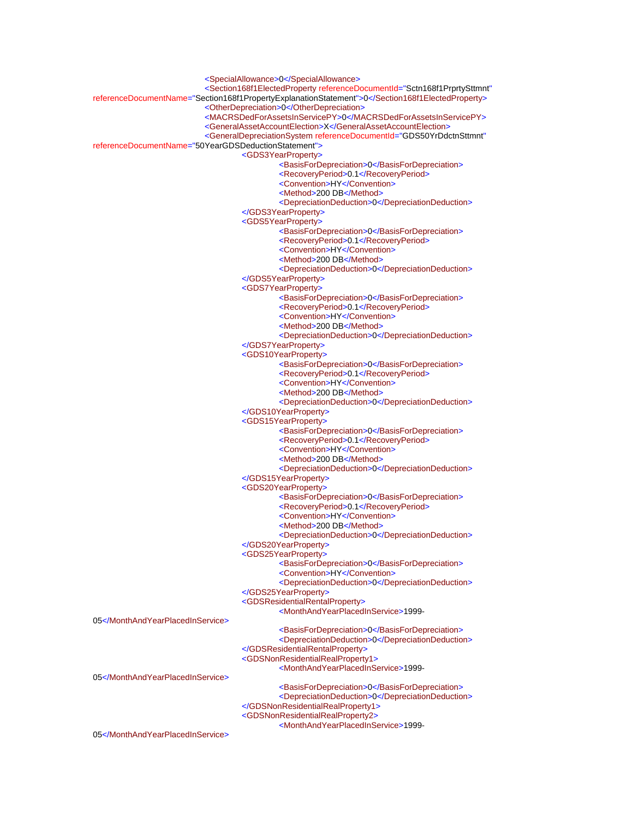<SpecialAllowance>0</SpecialAllowance> <Section168f1ElectedProperty referenceDocumentId="Sctn168f1PrprtySttmnt" referenceDocumentName="Section168f1PropertyExplanationStatement">0</Section168f1ElectedProperty> <OtherDepreciation>0</OtherDepreciation> <MACRSDedForAssetsInServicePY>0</MACRSDedForAssetsInServicePY> <GeneralAssetAccountElection>X</GeneralAssetAccountElection> <GeneralDepreciationSystem referenceDocumentId="GDS50YrDdctnSttmnt" referenceDocumentName="50YearGDSDeductionStatement"> <GDS3YearProperty> <BasisForDepreciation>0</BasisForDepreciation> <RecoveryPeriod>0.1</RecoveryPeriod> <Convention>HY</Convention> <Method>200 DB</Method> <DepreciationDeduction>0</DepreciationDeduction> </GDS3YearProperty> <GDS5YearProperty> <BasisForDepreciation>0</BasisForDepreciation> <RecoveryPeriod>0.1</RecoveryPeriod> <Convention>HY</Convention> <Method>200 DB</Method> <DepreciationDeduction>0</DepreciationDeduction> </GDS5YearProperty> <GDS7YearProperty> <BasisForDepreciation>0</BasisForDepreciation> <RecoveryPeriod>0.1</RecoveryPeriod> <Convention>HY</Convention> <Method>200 DB</Method> <DepreciationDeduction>0</DepreciationDeduction> </GDS7YearProperty> <GDS10YearProperty> <BasisForDepreciation>0</BasisForDepreciation> <RecoveryPeriod>0.1</RecoveryPeriod> <Convention>HY</Convention> <Method>200 DB</Method> <DepreciationDeduction>0</DepreciationDeduction> </GDS10YearProperty> <GDS15YearProperty> <BasisForDepreciation>0</BasisForDepreciation> <RecoveryPeriod>0.1</RecoveryPeriod> <Convention>HY</Convention> <Method>200 DB</Method> <DepreciationDeduction>0</DepreciationDeduction> </GDS15YearProperty> <GDS20YearProperty> <BasisForDepreciation>0</BasisForDepreciation> <RecoveryPeriod>0.1</RecoveryPeriod> <Convention>HY</Convention> <Method>200 DB</Method> <DepreciationDeduction>0</DepreciationDeduction> </GDS20YearProperty> <GDS25YearProperty> <BasisForDepreciation>0</BasisForDepreciation> <Convention>HY</Convention> <DepreciationDeduction>0</DepreciationDeduction> </GDS25YearProperty> <GDSResidentialRentalProperty> <MonthAndYearPlacedInService>1999- 05</MonthAndYearPlacedInService> <BasisForDepreciation>0</BasisForDepreciation> <DepreciationDeduction>0</DepreciationDeduction> </GDSResidentialRentalProperty> <GDSNonResidentialRealProperty1> <MonthAndYearPlacedInService>1999- 05</MonthAndYearPlacedInService> <BasisForDepreciation>0</BasisForDepreciation> <DepreciationDeduction>0</DepreciationDeduction> </GDSNonResidentialRealProperty1> <GDSNonResidentialRealProperty2> <MonthAndYearPlacedInService>1999- 05</MonthAndYearPlacedInService>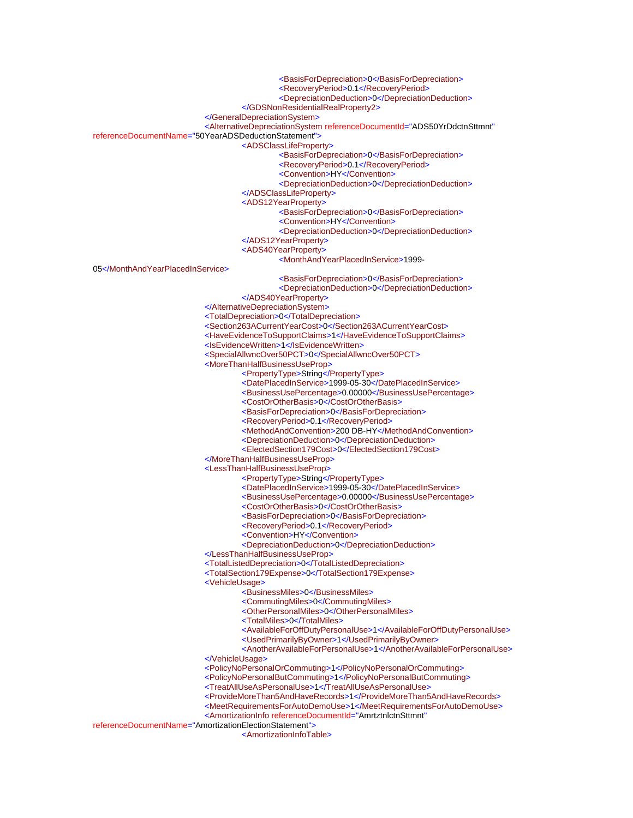<BasisForDepreciation>0</BasisForDepreciation>

<RecoveryPeriod>0.1</RecoveryPeriod>

<DepreciationDeduction>0</DepreciationDeduction>

</GDSNonResidentialRealProperty2>

</GeneralDepreciationSystem>

<AlternativeDepreciationSystem referenceDocumentId="ADS50YrDdctnSttmnt"

referenceDocumentName="50YearADSDeductionStatement">

<ADSClassLifeProperty>

<BasisForDepreciation>0</BasisForDepreciation>

<RecoveryPeriod>0.1</RecoveryPeriod>

<Convention>HY</Convention>

<DepreciationDeduction>0</DepreciationDeduction>

</ADSClassLifeProperty>

<ADS12YearProperty>

<BasisForDepreciation>0</BasisForDepreciation>

<Convention>HY</Convention>

<DepreciationDeduction>0</DepreciationDeduction>

</ADS12YearProperty>

## <ADS40YearProperty>

<MonthAndYearPlacedInService>1999-

05</MonthAndYearPlacedInService>

<BasisForDepreciation>0</BasisForDepreciation>

<DepreciationDeduction>0</DepreciationDeduction>

</ADS40YearProperty>

</AlternativeDepreciationSystem>

<TotalDepreciation>0</TotalDepreciation>

<Section263ACurrentYearCost>0</Section263ACurrentYearCost>

<HaveEvidenceToSupportClaims>1</HaveEvidenceToSupportClaims>

<IsEvidenceWritten>1</IsEvidenceWritten>

<SpecialAllwncOver50PCT>0</SpecialAllwncOver50PCT>

<MoreThanHalfBusinessUseProp>

<PropertyType>String</PropertyType>

<DatePlacedInService>1999-05-30</DatePlacedInService>

- <BusinessUsePercentage>0.00000</BusinessUsePercentage>
- <CostOrOtherBasis>0</CostOrOtherBasis>
- <BasisForDepreciation>0</BasisForDepreciation>

<RecoveryPeriod>0.1</RecoveryPeriod>

- <MethodAndConvention>200 DB-HY</MethodAndConvention>
- <DepreciationDeduction>0</DepreciationDeduction>
- <ElectedSection179Cost>0</ElectedSection179Cost>

</MoreThanHalfBusinessUseProp>

<LessThanHalfBusinessUseProp>

<PropertyType>String</PropertyType>

<DatePlacedInService>1999-05-30</DatePlacedInService>

- <BusinessUsePercentage>0.00000</BusinessUsePercentage>
- <CostOrOtherBasis>0</CostOrOtherBasis>
- <BasisForDepreciation>0</BasisForDepreciation>
- <RecoveryPeriod>0.1</RecoveryPeriod>
- <Convention>HY</Convention>
- <DepreciationDeduction>0</DepreciationDeduction>

</LessThanHalfBusinessUseProp>

<TotalListedDepreciation>0</TotalListedDepreciation>

<TotalSection179Expense>0</TotalSection179Expense>

<VehicleUsage>

- <BusinessMiles>0</BusinessMiles>
- <CommutingMiles>0</CommutingMiles>
- <OtherPersonalMiles>0</OtherPersonalMiles>
- <TotalMiles>0</TotalMiles>
- <AvailableForOffDutyPersonalUse>1</AvailableForOffDutyPersonalUse>
- <UsedPrimarilyByOwner>1</UsedPrimarilyByOwner>

 <AnotherAvailableForPersonalUse>1</AnotherAvailableForPersonalUse> </VehicleUsage>

<PolicyNoPersonalOrCommuting>1</PolicyNoPersonalOrCommuting>

- <PolicyNoPersonalButCommuting>1</PolicyNoPersonalButCommuting>
- <TreatAllUseAsPersonalUse>1</TreatAllUseAsPersonalUse>
- <ProvideMoreThan5AndHaveRecords>1</ProvideMoreThan5AndHaveRecords>
- <MeetRequirementsForAutoDemoUse>1</MeetRequirementsForAutoDemoUse>
- <AmortizationInfo referenceDocumentId="AmrtztnlctnSttmnt"

referenceDocumentName="AmortizationElectionStatement">

<AmortizationInfoTable>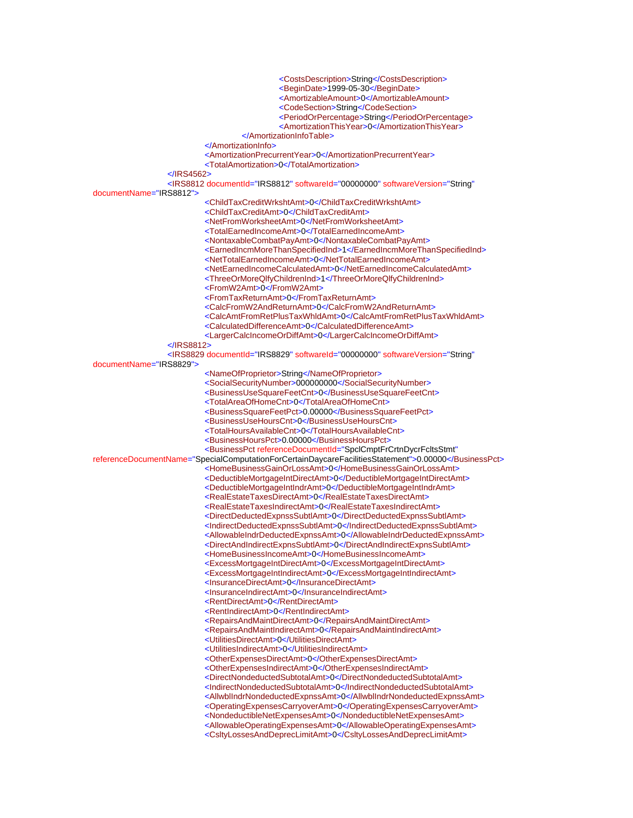<CostsDescription>String</CostsDescription> <BeginDate>1999-05-30</BeginDate> <AmortizableAmount>0</AmortizableAmount> <CodeSection>String</CodeSection> <PeriodOrPercentage>String</PeriodOrPercentage> <AmortizationThisYear>0</AmortizationThisYear> </AmortizationInfoTable> </AmortizationInfo> <AmortizationPrecurrentYear>0</AmortizationPrecurrentYear> <TotalAmortization>0</TotalAmortization> </IRS4562> <IRS8812 documentId="IRS8812" softwareId="00000000" softwareVersion="String" documentName="IRS8812"> <ChildTaxCreditWrkshtAmt>0</ChildTaxCreditWrkshtAmt> <ChildTaxCreditAmt>0</ChildTaxCreditAmt> <NetFromWorksheetAmt>0</NetFromWorksheetAmt> <TotalEarnedIncomeAmt>0</TotalEarnedIncomeAmt> <NontaxableCombatPayAmt>0</NontaxableCombatPayAmt> <EarnedIncmMoreThanSpecifiedInd>1</EarnedIncmMoreThanSpecifiedInd> <NetTotalEarnedIncomeAmt>0</NetTotalEarnedIncomeAmt> <NetEarnedIncomeCalculatedAmt>0</NetEarnedIncomeCalculatedAmt> <ThreeOrMoreQlfyChildrenInd>1</ThreeOrMoreQlfyChildrenInd> <FromW2Amt>0</FromW2Amt> <FromTaxReturnAmt>0</FromTaxReturnAmt> <CalcFromW2AndReturnAmt>0</CalcFromW2AndReturnAmt> <CalcAmtFromRetPlusTaxWhldAmt>0</CalcAmtFromRetPlusTaxWhldAmt> <CalculatedDifferenceAmt>0</CalculatedDifferenceAmt> <LargerCalcIncomeOrDiffAmt>0</LargerCalcIncomeOrDiffAmt>  $\angle$ IRS8812 <IRS8829 documentId="IRS8829" softwareId="00000000" softwareVersion="String" documentName="IRS8829"> <NameOfProprietor>String</NameOfProprietor> <SocialSecurityNumber>000000000</SocialSecurityNumber> <BusinessUseSquareFeetCnt>0</BusinessUseSquareFeetCnt> <TotalAreaOfHomeCnt>0</TotalAreaOfHomeCnt> <BusinessSquareFeetPct>0.00000</BusinessSquareFeetPct> <BusinessUseHoursCnt>0</BusinessUseHoursCnt> <TotalHoursAvailableCnt>0</TotalHoursAvailableCnt> <BusinessHoursPct>0.00000</BusinessHoursPct> <BusinessPct referenceDocumentId="SpclCmptFrCrtnDycrFcltsStmt" referenceDocumentName="SpecialComputationForCertainDaycareFacilitiesStatement">0.00000</BusinessPct> <HomeBusinessGainOrLossAmt>0</HomeBusinessGainOrLossAmt> <DeductibleMortgageIntDirectAmt>0</DeductibleMortgageIntDirectAmt> <DeductibleMortgageIntIndrAmt>0</DeductibleMortgageIntIndrAmt> <RealEstateTaxesDirectAmt>0</RealEstateTaxesDirectAmt> <RealEstateTaxesIndirectAmt>0</RealEstateTaxesIndirectAmt> <DirectDeductedExpnssSubtlAmt>0</DirectDeductedExpnssSubtlAmt> <IndirectDeductedExpnssSubtlAmt>0</IndirectDeductedExpnssSubtlAmt> <AllowableIndrDeductedExpnssAmt>0</AllowableIndrDeductedExpnssAmt> <DirectAndIndirectExpnsSubtlAmt>0</DirectAndIndirectExpnsSubtlAmt> <HomeBusinessIncomeAmt>0</HomeBusinessIncomeAmt> <ExcessMortgageIntDirectAmt>0</ExcessMortgageIntDirectAmt> <ExcessMortgageIntIndirectAmt>0</ExcessMortgageIntIndirectAmt> <InsuranceDirectAmt>0</InsuranceDirectAmt> <InsuranceIndirectAmt>0</InsuranceIndirectAmt> <RentDirectAmt>0</RentDirectAmt> <RentIndirectAmt>0</RentIndirectAmt> <RepairsAndMaintDirectAmt>0</RepairsAndMaintDirectAmt> <RepairsAndMaintIndirectAmt>0</RepairsAndMaintIndirectAmt> <UtilitiesDirectAmt>0</UtilitiesDirectAmt> <UtilitiesIndirectAmt>0</UtilitiesIndirectAmt> <OtherExpensesDirectAmt>0</OtherExpensesDirectAmt> <OtherExpensesIndirectAmt>0</OtherExpensesIndirectAmt> <DirectNondeductedSubtotalAmt>0</DirectNondeductedSubtotalAmt> <IndirectNondeductedSubtotalAmt>0</IndirectNondeductedSubtotalAmt> <AllwblIndrNondeductedExpnssAmt>0</AllwblIndrNondeductedExpnssAmt> <OperatingExpensesCarryoverAmt>0</OperatingExpensesCarryoverAmt> <NondeductibleNetExpensesAmt>0</NondeductibleNetExpensesAmt> <AllowableOperatingExpensesAmt>0</AllowableOperatingExpensesAmt> <CsltyLossesAndDeprecLimitAmt>0</CsltyLossesAndDeprecLimitAmt>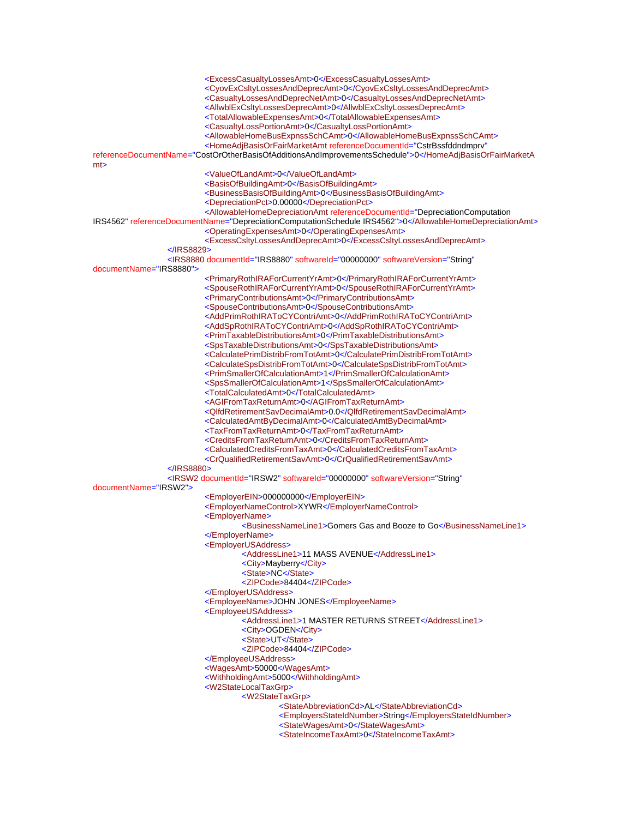<ExcessCasualtyLossesAmt>0</ExcessCasualtyLossesAmt> <CyovExCsltyLossesAndDeprecAmt>0</CyovExCsltyLossesAndDeprecAmt> <CasualtyLossesAndDeprecNetAmt>0</CasualtyLossesAndDeprecNetAmt> <AllwblExCsltyLossesDeprecAmt>0</AllwblExCsltyLossesDeprecAmt> <TotalAllowableExpensesAmt>0</TotalAllowableExpensesAmt> <CasualtyLossPortionAmt>0</CasualtyLossPortionAmt> <AllowableHomeBusExpnssSchCAmt>0</AllowableHomeBusExpnssSchCAmt> <HomeAdjBasisOrFairMarketAmt referenceDocumentId="CstrBssfddndmprv" referenceDocumentName="CostOrOtherBasisOfAdditionsAndImprovementsSchedule">0</HomeAdjBasisOrFairMarketA mt> <ValueOfLandAmt>0</ValueOfLandAmt> <BasisOfBuildingAmt>0</BasisOfBuildingAmt> <BusinessBasisOfBuildingAmt>0</BusinessBasisOfBuildingAmt> <DepreciationPct>0.00000</DepreciationPct> <AllowableHomeDepreciationAmt referenceDocumentId="DepreciationComputation IRS4562" referenceDocumentName="DepreciationComputationSchedule IRS4562">0</AllowableHomeDepreciationAmt> <OperatingExpensesAmt>0</OperatingExpensesAmt> <ExcessCsltyLossesAndDeprecAmt>0</ExcessCsltyLossesAndDeprecAmt> </IRS8829> <IRS8880 documentId="IRS8880" softwareId="00000000" softwareVersion="String" documentName="IRS8880"> <PrimaryRothIRAForCurrentYrAmt>0</PrimaryRothIRAForCurrentYrAmt> <SpouseRothIRAForCurrentYrAmt>0</SpouseRothIRAForCurrentYrAmt> <PrimaryContributionsAmt>0</PrimaryContributionsAmt> <SpouseContributionsAmt>0</SpouseContributionsAmt> <AddPrimRothIRAToCYContriAmt>0</AddPrimRothIRAToCYContriAmt> <AddSpRothIRAToCYContriAmt>0</AddSpRothIRAToCYContriAmt> <PrimTaxableDistributionsAmt>0</PrimTaxableDistributionsAmt> <SpsTaxableDistributionsAmt>0</SpsTaxableDistributionsAmt> <CalculatePrimDistribFromTotAmt>0</CalculatePrimDistribFromTotAmt> <CalculateSpsDistribFromTotAmt>0</CalculateSpsDistribFromTotAmt> <PrimSmallerOfCalculationAmt>1</PrimSmallerOfCalculationAmt> <SpsSmallerOfCalculationAmt>1</SpsSmallerOfCalculationAmt> <TotalCalculatedAmt>0</TotalCalculatedAmt> <AGIFromTaxReturnAmt>0</AGIFromTaxReturnAmt> <QlfdRetirementSavDecimalAmt>0.0</QlfdRetirementSavDecimalAmt> <CalculatedAmtByDecimalAmt>0</CalculatedAmtByDecimalAmt> <TaxFromTaxReturnAmt>0</TaxFromTaxReturnAmt> <CreditsFromTaxReturnAmt>0</CreditsFromTaxReturnAmt> <CalculatedCreditsFromTaxAmt>0</CalculatedCreditsFromTaxAmt> <CrQualifiedRetirementSavAmt>0</CrQualifiedRetirementSavAmt> </IRS8880> <IRSW2 documentId="IRSW2" softwareId="00000000" softwareVersion="String" documentName="IRSW2"> <EmployerEIN>000000000</EmployerEIN> <EmployerNameControl>XYWR</EmployerNameControl> <EmployerName> <BusinessNameLine1>Gomers Gas and Booze to Go</BusinessNameLine1> </EmployerName> <EmployerUSAddress> <AddressLine1>11 MASS AVENUE</AddressLine1> <City>Mayberry</City> <State>NC</State> <ZIPCode>84404</ZIPCode> </EmployerUSAddress> <EmployeeName>JOHN JONES</EmployeeName> <EmployeeUSAddress> <AddressLine1>1 MASTER RETURNS STREET</AddressLine1> <City>OGDEN</City> <State>UT</State> <ZIPCode>84404</ZIPCode> </EmployeeUSAddress> <WagesAmt>50000</WagesAmt> <WithholdingAmt>5000</WithholdingAmt> <W2StateLocalTaxGrp> <W2StateTaxGrp> <StateAbbreviationCd>AL</StateAbbreviationCd> <EmployersStateIdNumber>String</EmployersStateIdNumber> <StateWagesAmt>0</StateWagesAmt> <StateIncomeTaxAmt>0</StateIncomeTaxAmt>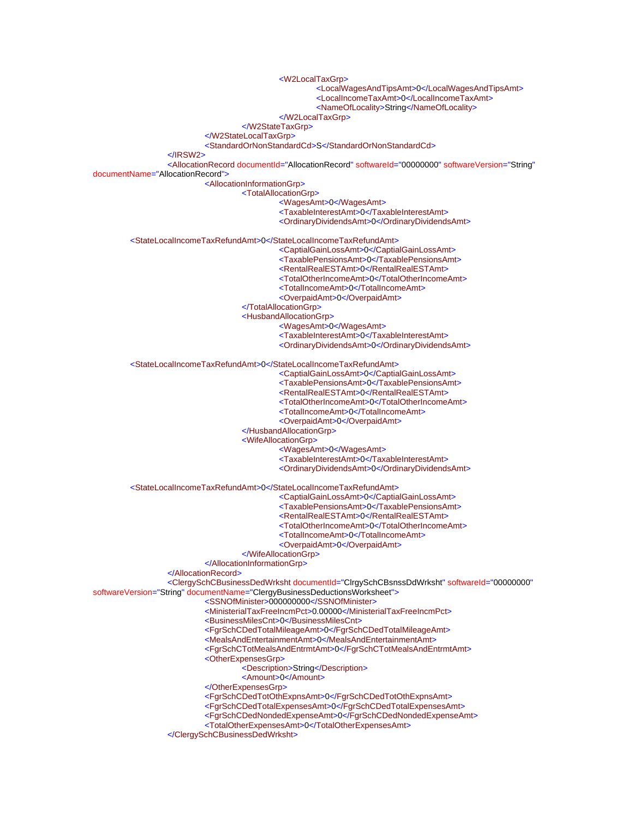<W2LocalTaxGrp> <LocalWagesAndTipsAmt>0</LocalWagesAndTipsAmt> <LocalIncomeTaxAmt>0</LocalIncomeTaxAmt> <NameOfLocality>String</NameOfLocality> </W2LocalTaxGrp> </W2StateTaxGrp> </W2StateLocalTaxGrp> <StandardOrNonStandardCd>S</StandardOrNonStandardCd> </IRSW2> <AllocationRecord documentId="AllocationRecord" softwareId="00000000" softwareVersion="String" documentName="AllocationRecord"> <AllocationInformationGrp> <TotalAllocationGrp> <WagesAmt>0</WagesAmt> <TaxableInterestAmt>0</TaxableInterestAmt> <OrdinaryDividendsAmt>0</OrdinaryDividendsAmt> <StateLocalIncomeTaxRefundAmt>0</StateLocalIncomeTaxRefundAmt> <CaptialGainLossAmt>0</CaptialGainLossAmt> <TaxablePensionsAmt>0</TaxablePensionsAmt> <RentalRealESTAmt>0</RentalRealESTAmt> <TotalOtherIncomeAmt>0</TotalOtherIncomeAmt> <TotalIncomeAmt>0</TotalIncomeAmt> <OverpaidAmt>0</OverpaidAmt> </TotalAllocationGrp> <HusbandAllocationGrp> <WagesAmt>0</WagesAmt> <TaxableInterestAmt>0</TaxableInterestAmt> <OrdinaryDividendsAmt>0</OrdinaryDividendsAmt> <StateLocalIncomeTaxRefundAmt>0</StateLocalIncomeTaxRefundAmt> <CaptialGainLossAmt>0</CaptialGainLossAmt> <TaxablePensionsAmt>0</TaxablePensionsAmt> <RentalRealESTAmt>0</RentalRealESTAmt> <TotalOtherIncomeAmt>0</TotalOtherIncomeAmt> <TotalIncomeAmt>0</TotalIncomeAmt> <OverpaidAmt>0</OverpaidAmt> </HusbandAllocationGrp> <WifeAllocationGrp> <WagesAmt>0</WagesAmt> <TaxableInterestAmt>0</TaxableInterestAmt> <OrdinaryDividendsAmt>0</OrdinaryDividendsAmt> <StateLocalIncomeTaxRefundAmt>0</StateLocalIncomeTaxRefundAmt> <CaptialGainLossAmt>0</CaptialGainLossAmt> <TaxablePensionsAmt>0</TaxablePensionsAmt> <RentalRealESTAmt>0</RentalRealESTAmt> <TotalOtherIncomeAmt>0</TotalOtherIncomeAmt> <TotalIncomeAmt>0</TotalIncomeAmt> <OverpaidAmt>0</OverpaidAmt> </WifeAllocationGrp> </AllocationInformationGrp> </AllocationRecord> <ClergySchCBusinessDedWrksht documentId="ClrgySchCBsnssDdWrksht" softwareId="00000000" softwareVersion="String" documentName="ClergyBusinessDeductionsWorksheet"> <SSNOfMinister>000000000</SSNOfMinister> <MinisterialTaxFreeIncmPct>0.00000</MinisterialTaxFreeIncmPct> <BusinessMilesCnt>0</BusinessMilesCnt> <FgrSchCDedTotalMileageAmt>0</FgrSchCDedTotalMileageAmt> <MealsAndEntertainmentAmt>0</MealsAndEntertainmentAmt> <FgrSchCTotMealsAndEntrmtAmt>0</FgrSchCTotMealsAndEntrmtAmt> <OtherExpensesGrp> <Description>String</Description> <Amount>0</Amount> </OtherExpensesGrp> <FgrSchCDedTotOthExpnsAmt>0</FgrSchCDedTotOthExpnsAmt> <FgrSchCDedTotalExpensesAmt>0</FgrSchCDedTotalExpensesAmt> <FgrSchCDedNondedExpenseAmt>0</FgrSchCDedNondedExpenseAmt> <TotalOtherExpensesAmt>0</TotalOtherExpensesAmt> </ClergySchCBusinessDedWrksht>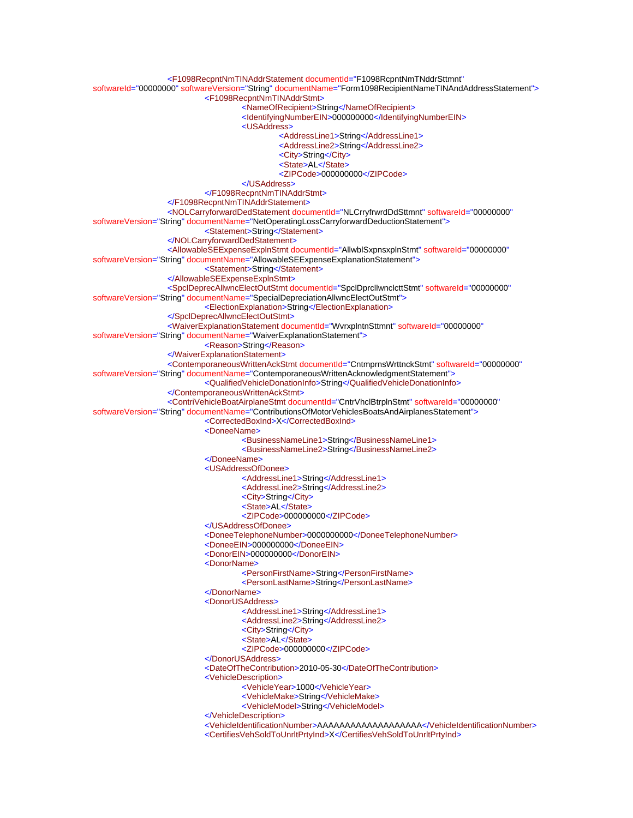<F1098RecpntNmTINAddrStatement documentId="F1098RcpntNmTNddrSttmnt" softwareId="00000000" softwareVersion="String" documentName="Form1098RecipientNameTINAndAddressStatement"> <F1098RecpntNmTINAddrStmt> <NameOfRecipient>String</NameOfRecipient> <IdentifyingNumberEIN>000000000</IdentifyingNumberEIN> <USAddress> <AddressLine1>String</AddressLine1> <AddressLine2>String</AddressLine2> <City>String</City> <State>AL</State> <ZIPCode>000000000</ZIPCode> </USAddress> </F1098RecpntNmTINAddrStmt> </F1098RecpntNmTINAddrStatement> <NOLCarryforwardDedStatement documentId="NLCrryfrwrdDdSttmnt" softwareId="00000000" softwareVersion="String" documentName="NetOperatingLossCarryforwardDeductionStatement"> <Statement>String</Statement> </NOLCarryforwardDedStatement> <AllowableSEExpenseExplnStmt documentId="AllwblSxpnsxplnStmt" softwareId="00000000" softwareVersion="String" documentName="AllowableSEExpenseExplanationStatement"> <Statement>String</Statement> </AllowableSEExpenseExplnStmt> <SpclDeprecAllwncElectOutStmt documentId="SpclDprcllwnclcttStmt" softwareId="00000000" softwareVersion="String" documentName="SpecialDepreciationAllwncElectOutStmt"> <ElectionExplanation>String</ElectionExplanation> </SpclDeprecAllwncElectOutStmt> <WaiverExplanationStatement documentId="WvrxplntnSttmnt" softwareId="00000000" softwareVersion="String" documentName="WaiverExplanationStatement"> <Reason>String</Reason> </WaiverExplanationStatement> <ContemporaneousWrittenAckStmt documentId="CntmprnsWrttnckStmt" softwareId="00000000" softwareVersion="String" documentName="ContemporaneousWrittenAcknowledgmentStatement"> <QualifiedVehicleDonationInfo>String</QualifiedVehicleDonationInfo> </ContemporaneousWrittenAckStmt> <ContriVehicleBoatAirplaneStmt documentId="CntrVhclBtrplnStmt" softwareId="00000000" softwareVersion="String" documentName="ContributionsOfMotorVehiclesBoatsAndAirplanesStatement"> <CorrectedBoxInd>X</CorrectedBoxInd> <DoneeName> <BusinessNameLine1>String</BusinessNameLine1> <BusinessNameLine2>String</BusinessNameLine2> </DoneeName> <USAddressOfDonee> <AddressLine1>String</AddressLine1> <AddressLine2>String</AddressLine2> <City>String</City> <State>AL</State> <ZIPCode>000000000</ZIPCode> </USAddressOfDonee> <DoneeTelephoneNumber>0000000000</DoneeTelephoneNumber> <DoneeEIN>000000000</DoneeEIN> <DonorEIN>000000000</DonorEIN> <DonorName> <PersonFirstName>String</PersonFirstName> <PersonLastName>String</PersonLastName> </DonorName> <DonorUSAddress> <AddressLine1>String</AddressLine1> <AddressLine2>String</AddressLine2> <City>String</City> <State>AL</State> <ZIPCode>000000000</ZIPCode> </DonorUSAddress> <DateOfTheContribution>2010-05-30</DateOfTheContribution> <VehicleDescription> <VehicleYear>1000</VehicleYear> <VehicleMake>String</VehicleMake> <VehicleModel>String</VehicleModel> </VehicleDescription> <VehicleIdentificationNumber>AAAAAAAAAAAAAAAAAAAAA</VehicleIdentificationNumber> <CertifiesVehSoldToUnrltPrtyInd>X</CertifiesVehSoldToUnrltPrtyInd>